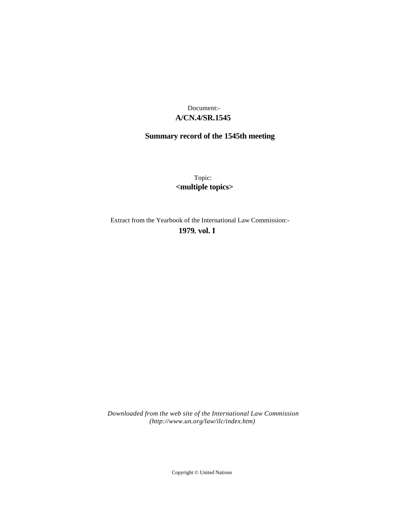# **A/CN.4/SR.1545** Document:-

# **Summary record of the 1545th meeting**

Topic: **<multiple topics>**

Extract from the Yearbook of the International Law Commission:-

**1979** , **vol. I**

*Downloaded from the web site of the International Law Commission (http://www.un.org/law/ilc/index.htm)*

Copyright © United Nations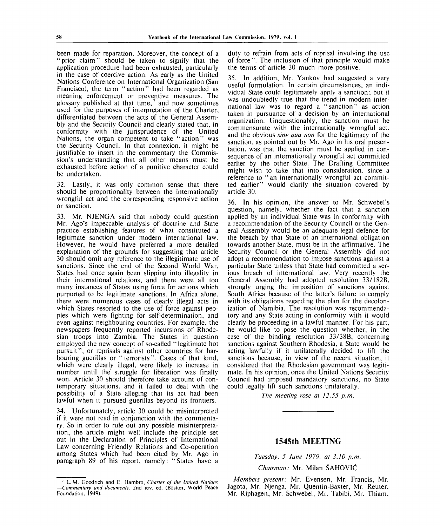been made for reparation. Moreover, the concept of a "prior claim" should be taken to signify that the application procedure had been exhausted, particularly in the case of coercive action. As early as the United Nations Conference on International Organization (San Francisco), the term "action" had been regarded as meaning enforcement or preventive measures. The glossary published at that time,<sup>7</sup> and now sometimes used for the purposes of interpretation of the Charter, differentiated between the acts of the General Assembly and the Security Council and clearly stated that, in conformity with the jurisprudence of the United Nations, the organ competent to take "action" was the Security Council. In that connexion, it might be justifiable to insert in the commentary the Commission's understanding that all other means must be exhausted before action of a punitive character could be undertaken.

32. Lastly, it was only common sense that there should be proportionality between the internationally wrongful act and the corresponding responsive action or sanction.

33. Mr. NJENGA said that nobody could question Mr. Ago's impeccable analysis of doctrine and State practice establishing features of what constituted a legitimate sanction under modern international law. However, he would have preferred a more detailed explanation of the grounds for suggesting that article 30 should omit any reference to the illegitimate use of sanctions. Since the end of the Second World War, States had once again been slipping into illegality in their international relations, and there were all too many instances of States using force for actions which purported to be legitimate sanctions. In Africa alone, there were numerous cases of clearly illegal acts in which States resorted to the use of force against peoples which were fighting for self-determination, and even against neighbouring countries. For example, the newspapers frequently reported incursions of Rhodesian troops into Zambia. The States in question employed the new concept of so-called " legitimate hot pursuit", or reprisals against other countries for harbouring guerillas or "terrorists". Cases of that kind, which were clearly illegal, were likely to increase in number until the struggle for liberation was finally won. Article 30 should therefore take account of contemporary situations, and it failed to deal with the possibility of a State alleging that its act had been lawful when it pursued guerillas beyond its frontiers.

34. Unfortunately, article 30 could be misinterpreted if it were not read in conjunction with the commentary. So in order to rule out any possible misinterpretation, the article might well include the principle set out in the Declaration of Principles of International Law concerning Friendly Relations and Co-operation among States which had been cited by Mr. Ago in paragraph 89 of his report, namely: "States have a duty to refrain from acts of reprisal involving the use of force". The inclusion of that principle would make the terms of article 30 much more positive.

35. In addition, Mr. Yankov had suggested a very useful formulation. In certain circumstances, an individual State could legitimately apply a sanction; but it was undoubtedly true that the trend in modern international law was to regard a "sanction" as action taken in pursuance of a decision by an international organization. Unquestionably, the sanction must be commensurate with the internationally wrongful act, and the obvious *sine qua non* for the legitimacy of the sanction, as pointed out by Mr. Ago in his oral presentation, was that the sanction must be applied in consequence of an internationally wrongful act committed earlier by the other State. The Drafting Committee might wish to take that into consideration, since a reference to "an internationally wrongful act committed earlier" would clarify the situation covered by article *30.*

36. In his opinion, the answer to Mr. Schwebel's question, namely, whether the fact that a sanction applied by an individual State was in conformity with a recommendation of the Security Council or the General Assembly would be an adequate legal defence for the breach by that State of an international obligation towards another State, must be in the affirmative. The Security Council or the General Assembly did not adopt a recommendation to impose sanctions against a particular State unless that State had committed a serious breach of international law. Very recently the General Assembly had adopted resolution 33/182B, strongly urging the imposition of sanctions against South Africa because of the latter's failure to comply with its obligations regarding the plan for the decolonization of Namibia. The resolution was recommendatory and any State acting in conformity with it would clearly be proceeding in a lawful manner. For his part, he would like to pose the question whether, in the case of the binding resolution 33/38B, concerning sanctions against Southern Rhodesia, a State would be acting lawfully if it unilaterally decided to lift the sanctions because, in view of the recent situation, it considered that the Rhodesian government was legitimate. In his opinion, once the United Nations Security Council had imposed mandatory sanctions, no State could legally lift such sanctions unilaterally.

*The meeting rose at 12.55 p.m.*

# **1545th MEETING**

## *Tuesday, 5 June 1979, at 3.10 p.m.*

*Chairman:* Mr. Milan SAHOVIC

*Members present:* Mr. Evensen, Mr. Francis, Mr. Jagota, Mr. Njenga, Mr. Quentin-Baxter, Mr. Reuter, Mr. Riphagen, Mr. Schwebel, Mr. Tabibi, Mr. Thiam,

<sup>7</sup> L. **M.** Goodrich and E. Hambro, *Charter of the United Nations* —*Commentary and documents,* 2nd rev. ed. (Boston, World Peace Foundation, 1949).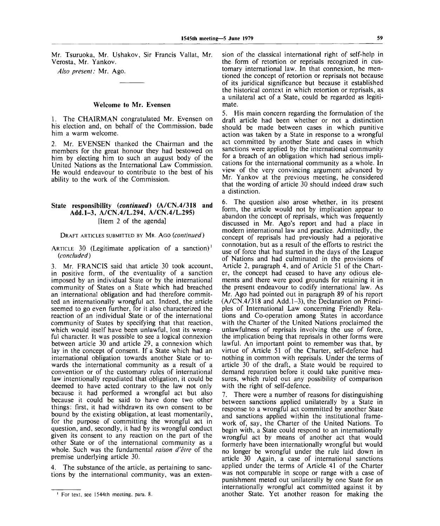Mr. Tsuruoka, Mr. Ushakov, Sir Francis Vallat, Mr. Verosta, Mr. Yankov.

*Also present:* Mr. Ago.

#### **Welcome to Mr. Evensen**

1. The CHAIRMAN congratulated Mr. Evensen on his election and, on behalf of the Commission, bade him a warm welcome.

2. Mr. EVENSEN thanked the Chairman and the members for the great honour they had bestowed on him by electing him to such an august body of the United Nations as the International Law Commission. He would endeavour to contribute to the best of his ability to the work of the Commission.

## **State responsibility** *(continued)* **(A/CN.4/318 and Add.1-3, A/CN.4/L.294, A/CN.4/L.295)** [Item 2 of the agenda]

DRAFT ARTICLES SUBMITTED BY MR. AGO *(continued)*

ARTICLE 30 (Legitimate application of a sanction)<sup>1</sup> *(concluded)*

3. Mr. FRANCIS said that article 30 took account, in positive form, of the eventuality of a sanction imposed by an individual State or by the international community of States on a State which had breached an international obligation and had therefore committed an internationally wrongful act. Indeed, the article seemed to go even further, for it also characterized the reaction of an individual State or of the international community of States by specifying that that reaction, which would itself have been unlawful, lost its wrongful character. It was possible to see a logical connexion between article 30 and article 29, a connexion which lay in the concept of consent. If a State which had an international obligation towards another State or towards the international community as a result of a convention or of the customary rules of international law intentionally repudiated that obligation, it could be deemed to have acted contrary to the law not only because it had performed a wrongful act but also because it could be said to have done two other things: first, it had withdrawn its own consent to be bound by the existing obligation, at least momentarily, for the purpose of committing the wrongful act in question, and, secondly, it had by its wrongful conduct given its consent to any reaction on the part of the other State or of the international community as a whole. Such was the fundamental *raison d'etre* of the premise underlying article 30.

4. The substance of the article, as pertaining to sanctions by the international community, was an extension of the classical international right of self-help in the form of retortion or reprisals recognized in customary international law. In that connexion, he mentioned the concept of retortion or reprisals not because of its juridical significance but because it established the historical context in which retortion or reprisals, as a unilateral act of a State, could be regarded as legitimate.

5. His main concern regarding the formulation of the draft article had been whether or not a distinction should be made between cases in which punitive action was taken by a State in response to a wrongful act committed by another State and cases in which sanctions were applied by the international community for a breach of an obligation which had serious implications for the international community as a whole. In view of the very convincing argument advanced by Mr. Yankov at the previous meeting, he considered that the wording of article 30 should indeed draw such a distinction.

6. The question also arose whether, in its present form, the article would not by implication appear to abandon the concept of reprisals, which was frequently discussed in Mr. Ago's report and had a place in modern international law and practice. Admittedly, the concept of reprisals had previously had a pejorative connotation, but as a result of the efforts to restrict the use of force that had started in the days of the League of Nations and had culminated in the provisions of Article 2, paragraph 4, and of Article 51 of the Charter, the concept had ceased to have any odious elements and there were good grounds for retaining it in the present endeavour to codify international law. As Mr. Ago had pointed out in paragraph 89 of his report (A/CN.4/318 and Add.1-3), the Declaration on Principles of International Law concerning Friendly Relations and Co-operation among States in accordance with the Charter of the United Nations proclaimed the unlawfulness of reprisals involving the use *of* force, the implication being that reprisals in other forms were lawful. An important point to remember was that, by virtue of Article 51 of the Charter, self-defence had nothing in common with reprisals. Under the terms of article 30 of the draft, a State would be required to demand reparation before it could take punitive measures, which ruled out any possibility of comparison with the right of self-defence.

7. There were a number of reasons for distinguishing between sanctions applied unilaterally by a State in response to a wrongful act committed by another State and sanctions applied within the institutional framework of, say, the Charter of the United Nations. To begin with, a State could respond to an internationally wrongful act by means of another act that would formerly have been internationally wrongful but would no longer be wrongful under the rule laid down in article 30 Again, a case of international sanctions applied under the terms of Article 41 of the Charter was not comparable in scope or range with a case of punishment meted out unilaterally by one State for an internationally wrongful act committed against it by another State. Yet another reason for making the

For text, see 1544th meeting, para. 8.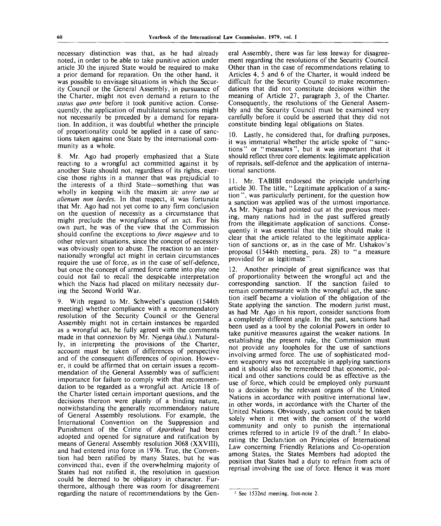necessary distinction was that, as he had already noted, in order to be able to take punitive action under article 30 the injured State would be required to make a prior demand for reparation. On the other hand, it was possible to envisage situations in which the Security Council or the General Assembly, in pursuance of the Charter, might not even demand a return to the *status quo ante* before it took punitive action. Consequently, the application of multilateral sanctions might not necessarily be preceded by a demand for reparation. In addition, it was doubtful whether the principle of proportionality could be applied in a case of sanctions taken against one State by the international community as a whole.

8. Mr. Ago had properly emphasized that a State reacting to a wrongful act committed against it by another State should not, regardless of its rights, exercise those rights in a manner that was prejudicial to the interests of a third State—something that was wholly in keeping with the maxim *sic utere tuo ut alienum non laedes.* In that respect, it was fortunate that Mr. Ago had not yet come to any firm conclusion on the question of necessity as a circumstance that might preclude the wrongfulness of an act. For his own part, he was of the view that the Commission should confine the exceptions to *force majeure* and to other relevant situations, since the concept of necessity was obviously open to abuse. The reaction to an internationally wrongful act might in certain circumstances require the use of force, as in the case of self-defence, but once the concept of armed force came into play one could not fail to recall the despicable interpretation which the Nazis had placed on military necessity during the Second World War.

9. With regard to Mr. Schwebel's question (1544th meeting) whether compliance with a recommendatory resolution of the Security Council or the General Assembly might not in certain instances be regarded as a wrongful act, he fully agreed with the comments made in that connexion by Mr. Njenga *(ibid.).* Naturally, in interpreting the provisions of the Charter, account must be taken of differences of perspective and of the consequent differences of opinion. However, it could be affirmed that on certain issues a recommendation of the General Assembly was of sufficient importance for failure to comply with that recommendation to be regarded as a wrongful act. Article 18 of the Charter listed certain important questions, and the decisions thereon were plainly of a binding nature, notwithstanding the generally recommendatory nature of General Assembly resolutions. For example, the International Convention on the Suppression and Punishment of the Crime of *Apartheid* had been adopted and opened for signature and ratification by means of General Assembly resolution 3068 (XXVIII), and had entered into force in 1976. True, the Convention had been ratified by many States, but he was convinced that, even if the overwhelming majority of States had not ratified it, the resolution in question could be deemed to be obligatory in character. Furthermore, although there was room for disagreement regarding the nature of recommendations by the General Assembly, there was far less leeway for disagreement regarding the resolutions of the Security Council. Other than in the case of recommendations relating to Articles 4, 5 and 6 of the Charter, it would indeed be difficult for the Security Council to make recommendations that did not constitute decisions within the meaning of Article 27, paragraph 3, of the Charter. Consequently, the resolutions of the General Assembly and the Security Council must be examined very carefully before it could be asserted that they did not constitute binding legal obligations on States.

10. Lastly, he considered that, for drafting purposes, it was immaterial whether the article spoke of " sanctions" or "measures", but it was important that it should reflect three core elements: legitimate application of reprisals, self-defence and the application of international sanctions.

11. Mr. TABIBI endorsed the principle underlying article 30. The title, " Legitimate application of a sanction", was particularly pertinent, for the question how a sanction was applied was of the utmost importance. As Mr. Njenga had pointed out at the previous meeting, many nations had in the past suffered greatly from the illegitimate application of sanctions. Consequently it was essential that the title should make it clear that the article related to the legitimate application of sanctions or, as in the case of Mr. Ushakov's proposal (1544th meeting, para. 28) to "a measure provided for as legitimate".

12. Another principle of great significance was that of proportionality between the wrongful act and the corresponding sanction. If the sanction failed to remain commensurate with the wrongful act, the sanction itself became a violation of the obligation of the State applying the sanction. The modern jurist must, as had Mr. Ago in his report, consider sanctions from a completely different angle. In the past, sanctions had been used as a tool by the colonial Powers in order to take punitive measures against the weaker nations. In establishing the present rule, the Commission must not provide any loopholes for the use of sanctions involving armed force. The use of sophisticated modern weaponry was not acceptable in applying sanctions and it should also be remembered that economic, political and other sanctions could be as effective as the use of force, which could be employed only pursuant to a decision by the relevant organs of the United Nations in accordance with positive international law, in other words, in accordance with the Charter of the United Nations. Obviously, such action could be taken solely when it met with the consent of the world community and only to punish the international commantly and only to paint the international crimes referred to in article 19 of the draft.<sup>2</sup> In elaborating the Declaration on Principles of International Law concerning Friendly Relations and Co-operation among States, the States Members had adopted the position that States had a duty to refrain from acts of reprisal involving the use of force. Hence it was more

<sup>2</sup> See 1532nd meeting, foot-note 2.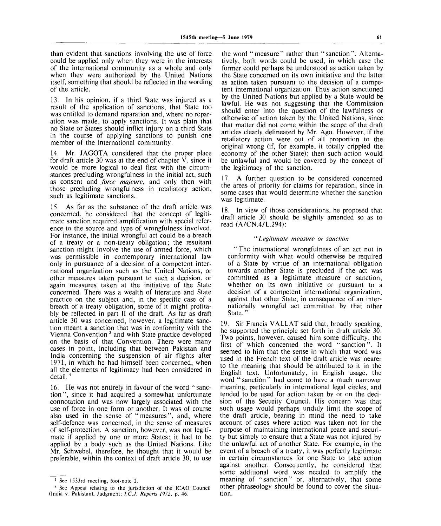than evident that sanctions involving the use of force could be applied only when they were in the interests of the international community as a whole and only when they were authorized by the United Nations itself, something that should be reflected in the wording of the article.

13. In his opinion, if a third State was injured as a result of the application of sanctions, that State too was entitled to demand reparation and, where no reparation was made, to apply sanctions. It was plain that no State or States should inflict injury on a third State in the course of applying sanctions to punish one member of the international community.

14. Mr. JAGOTA considered that the proper place for draft article 30 was at the end of chapter V, since it would be more logical to deal first with the circumstances precluding wrongfulness in the initial act, such as consent and *force majeure,* and only then with those precluding wrongfulness in retaliatory action, such as legitimate sanctions.

15. As far as the substance of the draft article was concerned, he considered that the concept of legitimate sanction required amplification with special reference to the source and type of wrongfulness involved. For instance, the initial wrongful act could be a breach of a treaty or a non-treaty obligation; the resultant sanction might involve the use of armed force, which was permissible in contemporary international law only in pursuance of a decision of a competent international organization such as the United Nations, or other measures taken pursuant to such a decision, or again measures taken at the initiative of the State concerned. There was a wealth of literature and State practice on the subject and, in the specific case of a breach of a treaty obligation, some of it might profitably be reflected in part II of the draft. As far as draft article 30 was concerned, however, a legitimate sanction meant a sanction that was in conformity with the Vienna Convention<sup>3</sup> and with State practice developed on the basis of that Convention. There were many cases in point, including that between Pakistan and India concerning the suspension of air flights after 1971, in which he had himself been concerned, when all the elements of legitimacy had been considered in detail.<sup>4</sup>

16. He was not entirely in favour of the word "sanction", since it had acquired a somewhat unfortunate connotation and was now largely associated with the use of force in one form or another. It was of course also used in the sense of "measures", and, where self-defence was concerned, in the sense of measures of self-protection. A sanction, however, was not legitimate if applied by one or more States; it had to be applied by a body such as the United Nations. Like Mr. Schwebel, therefore, he thought that it would be preferable, within the context of draft article 30, to use

the word "measure" rather than "sanction". Alternatively, both words could be used, in which case the former could perhaps be understood as action taken by the State concerned on its own initiative and the latter as action taken pursuant to the decision of a competent international organization. Thus action sanctioned by the United Nations but applied by a State would be lawful. He was not suggesting that the Commission should enter into the question of the lawfulness or otherwise of action taken by the United Nations, since that matter did not come within the scope of the draft articles clearly delineated by Mr. Ago. However, if the retaliatory action were out of all proportion to the original wrong (if, for example, it totally crippled the economy of the other State); then such action would be unlawful and would be covered by the concept of the legitimacy of the sanction.

17. A further question to be considered concerned the areas of priority for claims for reparation, since in some cases that would determine whether the sanction was legitimate.

18. In view of those considerations, he proposed that draft article 30 should be slightly amended so as to read (A/CN.4/L.294):

#### *"Legitimate measure or sanction*

"The international wrongfulness of an act not in conformity with what would otherwise be required of a State by virtue of an international obligation towards another State is precluded if the act was committed as a legitimate measure or sanction, whether on its own initiative or pursuant to a decision of a competent international organization, against that other State, in consequence of an internationally wrongful act committed by that other State."

19. Sir Francis VALLAT said that, broadly speaking, he supported the principle set forth in draft article 30. Two points, however, caused him some difficulty, the first of which concerned the word "sanction". It seemed to him that the sense in which that word was used in the French text of the draft article was nearer to the meaning that should be attributed to it in the English text. Unfortunately, in English usage, the word " sanction " had come to have a much narrower meaning, particularly in international legal circles, and tended to be used for action taken by or on the decision of the Security Council. His concern was that such usage would perhaps unduly limit the scope of the draft article, bearing in mind the need to take account of cases where action was taken not for the purpose of maintaining international peace and security but simply to ensure that a State was not injured by the unlawful act of another State. For example, in the event of a breach of a treaty, it was perfectly legitimate in certain circumstances for one State to take action against another. Consequently, he considered that some additional word was needed to amplify the meaning of "sanction" or, alternatively, that some other phraseology should be found to cover the situation.

<sup>&</sup>lt;sup>3</sup> See 1533rd meeting, foot-note 2.

<sup>4</sup> See Appeal relating to the jurisdiction of the ICAO Council (India v. Pakistan), Judgment: *I.C.J. Reports 1972,* p. 46.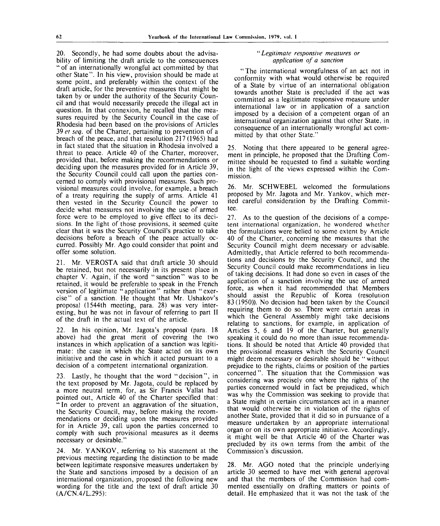20. Secondly, he had some doubts about the advisability of limiting the draft article to the consequences " of an internationally wrongful act committed by that other State". In his view, provision should be made at some point, and preferably within the context of the draft article, for the preventive measures that might be taken by or under the authority of the Security Council and that would necessarily precede the illegal act in question. In that connexion, he recalled that the measures required by the Security Council in the case of Rhodesia had been based on the provisions of Articles 39 *et seq.* of the Charter, pertaining to prevention of a breach of the peace, and that resolution 217 (1965) had in fact stated that the situation in Rhodesia involved a threat to peace. Article 40 of the Charter, moreover, provided that, before making the recommendations or deciding upon the measures provided for in Article 39, the Security Council could call upon the parties concerned to comply with provisional measures. Such provisional measures could involve, for example, a breach of a treaty requiring the supply of arms. Article 41 then vested in the Security Council the power to decide what measures not involving the use of armed force were to be employed to give effect to its decisions. In the light of those provisions, it seemed quite clear that it was the Security Council's practice to take decisions before a breach of the peace actually occurred. Possibly Mr. Ago could consider that point and offer some solution.

21. Mr. VEROSTA said that draft article 30 should be retained, but not necessarily in its present place in chapter V. Again, if the word "sanction" was to be retained, it would be preferable to speak in the French version of legitimate "application" rather than "exercise" of a sanction. He thought that Mr. Ushakov's proposal (1544th meeting, para. 28) was very interesting, but he was not in favour of referring to part II of the draft in the actual text of the article.

22. In his opinion, Mr. Jagota's proposal (para. 18 above) had the great merit of covering the two instances in which application of a sanction was legitimate: the case in which the State acted on its own initiative and the case in which it acted pursuant to a decision of a competent international organization.

23. Lastly, he thought that the word "decision", in the text proposed by Mr. Jagota, could be replaced by a more neutral term, for, as Sir Francis Vallat had pointed out, Article 40 of the Charter specified that: " In order to prevent an aggravation of the situation, the Security Council, may, before making the recommendations or deciding upon the measures provided for in Article 39, call upon the parties concerned to comply with such provisional measures as it deems necessary or desirable."

24. Mr. YANKOV, referring to his statement at the previous meeting regarding the distinction to be made between legitimate responsive measures undertaken by the State and sanctions imposed by a decision of an international organization, proposed the following new wording for the title and the text of draft article 30 (A/CN.4/L.295):

#### *"Legitimate responsive measures or application of a sanction*

"The international wrongfulness of an act not in conformity with what would otherwise be required of a State by virtue of an international obligation towards another State is precluded if the act was committed as a legitimate responsive measure under international law or in application of a sanction imposed by a decision of a competent organ of an international organization against that other State, in consequence of an internationally wrongful act committed by that other State."

25. Noting that there appeared to be general agreement in principle, he proposed that the Drafting Committee should be requested to find a suitable wording in the light of the views expressed within the Commission.

26. Mr. SCHWEBEL welcomed the formulations proposed by Mr. Jagota and Mr. Yankov, which merited careful consideration by the Drafting Committee.

27. As to the question of the decisions of a competent international organization, he wondered whether the formulations were belied to some extent by Article 40 of the Charter, concerning the measures that the Security Council might deem necessary or advisable. Admittedly, that Article referred to both recommendations and decisions by the Security Council, and the Security Council could make recommendations in lieu of taking decisions. It had done so even in cases of the application of a sanction involving the use of armed force, as when it had recommended that Members should assist the Republic of Korea (resolution 83(1950)). No decision had been taken by the Council requiring them to do so. There were certain areas in which the General Assembly might take decisions relating to sanctions, for example, in application of Articles 5, 6 and 19 of the Charter, but generally speaking it could do no more than issue recommendations. It should be noted that Article 40 provided that the provisional measures which the Security Council might deem necessary or desirable should be " without prejudice to the rights, claims or position of the parties concerned". The situation that the Commission was considering was precisely one where the rights of the parties concerned would in fact be prejudiced, which was why the Commission was seeking to provide that a State might in certain circumstances act in a manner that would otherwise be in violation of the rights of another State, provided that it did so in pursuance of a measure undertaken by an appropriate international organ or on its own appropriate initiative. Accordingly, it might well be that Article 40 of the Charter was precluded by its own terms from the ambit of the Commission's discussion.

28. Mr. AGO noted that the principle underlying article 30 seemed to have met with general approval and that the members of the Commission had commented essentially on drafting matters or points of detail. He emphasized that it was not the task of the